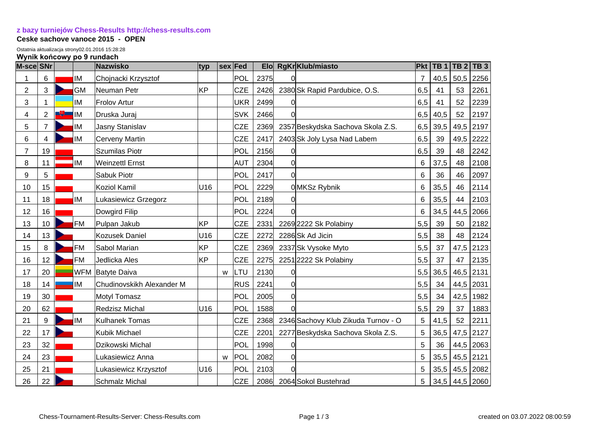## **[z bazy turniejów Chess-Results http://chess-results.com](http://chess-results.com/)**

## **Ceske sachove vanoce 2015 - OPEN**

Ostatnia aktualizacja strony02.01.2016 15:28:28

## **Wynik końcowy po 9 rundach**

| M-sce SNr      |                |        |            | <b>Nazwisko</b>           | typ             |   | sex Fed    | <b>Elo</b> |          | RgKr Klub/miasto                    | <b>Pkt</b> | $\overline{TB}1$ | TB 2 | TB <sub>3</sub>  |
|----------------|----------------|--------|------------|---------------------------|-----------------|---|------------|------------|----------|-------------------------------------|------------|------------------|------|------------------|
| 1              | 6              |        | ΙM         | Chojnacki Krzysztof       |                 |   | POL        | 2375       |          |                                     | 7          | 40,5             | 50,5 | 2256             |
| $\overline{c}$ | 3              |        | GM         | Neuman Petr               | KP              |   | <b>CZE</b> | 2426       |          | 2380 Sk Rapid Pardubice, O.S.       | 6,5        | 41               | 53   | 2261             |
| 3              | 1              |        | IM         | <b>Frolov Artur</b>       |                 |   | <b>UKR</b> | 2499       |          |                                     | 6,5        | 41               | 52   | 2239             |
| 4              | $\overline{2}$ | سيابان | lМ         | Druska Juraj              |                 |   | <b>SVK</b> | 2466       | 0        |                                     | 6,5        | 40,5             | 52   | 2197             |
| 5              | $\overline{7}$ |        | ΙM         | <b>Jasny Stanislav</b>    |                 |   | <b>CZE</b> | 2369       |          | 2357 Beskydska Sachova Skola Z.S.   | 6,5        | 39,5             | 49,5 | 2197             |
| 6              | $\overline{4}$ |        | ΙM         | Cerveny Martin            |                 |   | <b>CZE</b> | 2417       |          | 2403 Sk Joly Lysa Nad Labem         | 6,5        | 39               | 49,5 | 2222             |
| $\overline{7}$ | 19             |        |            | <b>Szumilas Piotr</b>     |                 |   | POL        | 2156       | O        |                                     | 6,5        | 39               | 48   | 2242             |
| 8              | 11             |        | ΙM         | <b>Weinzettl Ernst</b>    |                 |   | <b>AUT</b> | 2304       | 0        |                                     | 6          | 37,5             | 48   | 2108             |
| 9              | 5              |        |            | Sabuk Piotr               |                 |   | POL        | 2417       | $\Omega$ |                                     | 6          | 36               | 46   | 2097             |
| 10             | 15             |        |            | <b>Koziol Kamil</b>       | U <sub>16</sub> |   | POL        | 2229       |          | 0 MKSz Rybnik                       | 6          | 35,5             | 46   | 2114             |
| 11             | 18             |        | ΙM         | Lukasiewicz Grzegorz      |                 |   | POL        | 2189       |          |                                     | 6          | 35,5             | 44   | 2103             |
| 12             | 16             |        |            | Dowgird Filip             |                 |   | POL        | 2224       | $\Omega$ |                                     | 6          | 34,5             | 44,5 | 2066             |
| 13             | 10             |        | <b>FM</b>  | Pulpan Jakub              | ΙKΡ             |   | <b>CZE</b> | 2331       |          | 2269 2222 Sk Polabiny               | 5,5        | 39               | 50   | 2182             |
| 14             | 13             |        |            | <b>Kozusek Daniel</b>     | U16             |   | <b>CZE</b> | 2272       |          | 2286 Sk Ad Jicin                    | 5,5        | 38               | 48   | 2124             |
| 15             | 8              |        | <b>FM</b>  | Sabol Marian              | <b>KP</b>       |   | <b>CZE</b> | 2369       |          | 2337 Sk Vysoke Myto                 | 5,5        | 37               | 47,5 | 2123             |
| 16             | 12             |        | <b>FM</b>  | Jedlicka Ales             | KP              |   | <b>CZE</b> | 2275       |          | 2251 2222 Sk Polabiny               | 5,5        | 37               | 47   | 2135             |
| 17             | 20             |        | <b>WFM</b> | <b>Batyte Daiva</b>       |                 | w | LTU        | 2130       | ∩        |                                     | 5,5        | 36,5             |      | 46,5 2131        |
| 18             | 14             |        | ΙM         | Chudinovskikh Alexander M |                 |   | <b>RUS</b> | 2241       | 0        |                                     | 5,5        | 34               |      | 44,5 2031        |
| 19             | 30             |        |            | <b>Motyl Tomasz</b>       |                 |   | POL        | 2005       | $\Omega$ |                                     | 5,5        | 34               | 42,5 | 1982             |
| 20             | 62             |        |            | <b>Redzisz Michal</b>     | U16             |   | POL        | 1588       | ∩        |                                     | 5,5        | 29               | 37   | 1883             |
| 21             | 9              |        | ΙM         | <b>Kulhanek Tomas</b>     |                 |   | <b>CZE</b> | 2368       |          | 2346 Sachovy Klub Zikuda Turnov - O | 5          | 41,5             | 52   | 2211             |
| 22             | 17             |        |            | Kubik Michael             |                 |   | <b>CZE</b> | 2201       |          | 2277 Beskydska Sachova Skola Z.S.   | 5          | 36,5             |      | 47,5 2127        |
| 23             | 32             |        |            | Dzikowski Michal          |                 |   | POL        | 1998       |          |                                     | 5          | 36               |      | 44,5 2063        |
| 24             | 23             |        |            | Lukasiewicz Anna          |                 | W | POL        | 2082       | $\Omega$ |                                     | 5          | 35,5             |      | 45,5 2121        |
| 25             | 21             |        |            | Lukasiewicz Krzysztof     | U16             |   | POL        | 2103       | U        |                                     | 5          | 35,5             |      | 45,5 2082        |
| 26             | 22             |        |            | <b>Schmalz Michal</b>     |                 |   | <b>CZE</b> | 2086       |          | 2064 Sokol Bustehrad                | 5          |                  |      | $34,5$ 44,5 2060 |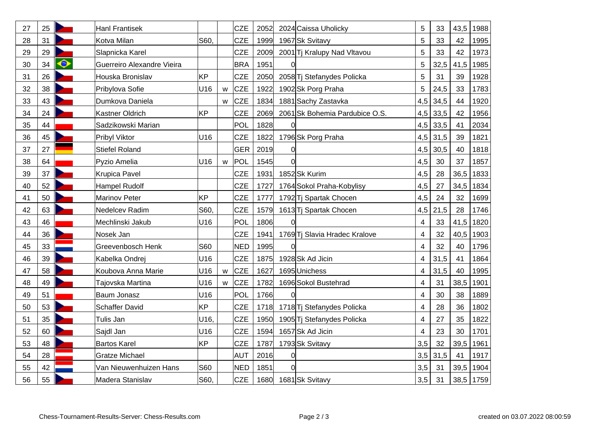| 27 | 25 |              | <b>Hanl Frantisek</b>      |                 |   | <b>CZE</b> | 2052 |    | 2024 Caissa Uholicky           | 5              | 33   | 43,5 | 1988 |
|----|----|--------------|----------------------------|-----------------|---|------------|------|----|--------------------------------|----------------|------|------|------|
| 28 | 31 |              | Kotva Milan                | S60.            |   | <b>CZE</b> | 1999 |    | 1967 Sk Svitavy                | 5              | 33   | 42   | 1995 |
| 29 | 29 |              | Slapnicka Karel            |                 |   | <b>CZE</b> | 2009 |    | 2001 Tj Kralupy Nad Vltavou    | 5              | 33   | 42   | 1973 |
| 30 | 34 | $\bm{\circ}$ | Guerreiro Alexandre Vieira |                 |   | <b>BRA</b> | 1951 |    |                                | 5              | 32,5 | 41,5 | 1985 |
| 31 | 26 |              | Houska Bronislav           | KP              |   | <b>CZE</b> | 2050 |    | 2058 Tj Stefanydes Policka     | 5              | 31   | 39   | 1928 |
| 32 | 38 |              | Pribylova Sofie            | U16             | W | <b>CZE</b> | 1922 |    | 1902 Sk Porg Praha             | 5              | 24,5 | 33   | 1783 |
| 33 | 43 |              | Dumkova Daniela            |                 | w | <b>CZE</b> | 1834 |    | 1881 Sachy Zastavka            | 4,5            | 34,5 | 44   | 1920 |
| 34 | 24 |              | Kastner Oldrich            | <b>KP</b>       |   | <b>CZE</b> | 2069 |    | 2061 Sk Bohemia Pardubice O.S. | 4,5            | 33,5 | 42   | 1956 |
| 35 | 44 |              | Sadzikowski Marian         |                 |   | POL        | 1828 |    |                                | 4,5            | 33,5 | 41   | 2034 |
| 36 | 45 |              | Pribyl Viktor              | U16             |   | <b>CZE</b> | 1822 |    | 1796 Sk Porg Praha             | 4,5            | 31,5 | 39   | 1821 |
| 37 | 27 |              | <b>Stiefel Roland</b>      |                 |   | <b>GER</b> | 2019 | 0  |                                | 4,5            | 30,5 | 40   | 1818 |
| 38 | 64 |              | Pyzio Amelia               | U <sub>16</sub> | W | POL        | 1545 | Ωl |                                | 4,5            | 30   | 37   | 1857 |
| 39 | 37 |              | <b>Krupica Pavel</b>       |                 |   | <b>CZE</b> | 1931 |    | 1852 Sk Kurim                  | 4,5            | 28   | 36,5 | 1833 |
| 40 | 52 |              | Hampel Rudolf              |                 |   | <b>CZE</b> | 1727 |    | 1764 Sokol Praha-Kobylisy      | 4,5            | 27   | 34,5 | 1834 |
| 41 | 50 |              | <b>Marinov Peter</b>       | <b>KP</b>       |   | <b>CZE</b> | 1777 |    | 1792 Tj Spartak Chocen         | 4,5            | 24   | 32   | 1699 |
| 42 | 63 |              | Nedelcev Radim             | S60,            |   | <b>CZE</b> | 1579 |    | 1613 Tj Spartak Chocen         | 4,5            | 21,5 | 28   | 1746 |
| 43 | 46 |              | Mechlinski Jakub           | U16             |   | POL        | 1806 | O  |                                | 4              | 33   | 41,5 | 1820 |
| 44 | 36 |              | Nosek Jan                  |                 |   | <b>CZE</b> | 1941 |    | 1769 Tj Slavia Hradec Kralove  | $\overline{4}$ | 32   | 40,5 | 1903 |
| 45 | 33 |              | Greevenbosch Henk          | <b>S60</b>      |   | <b>NED</b> | 1995 | O  |                                | 4              | 32   | 40   | 1796 |
| 46 | 39 |              | Kabelka Ondrei             | U16             |   | <b>CZE</b> | 1875 |    | 1928 Sk Ad Jicin               | 4              | 31,5 | 41   | 1864 |
| 47 | 58 |              | Koubova Anna Marie         | U16             | W | <b>CZE</b> | 1627 |    | 1695 Unichess                  | 4              | 31,5 | 40   | 1995 |
| 48 | 49 |              | Tajovska Martina           | U16             | W | <b>CZE</b> | 1782 |    | 1696 Sokol Bustehrad           | 4              | 31   | 38,5 | 1901 |
| 49 | 51 |              | Baum Jonasz                | U16             |   | POL        | 1766 | Ωl |                                | 4              | 30   | 38   | 1889 |
| 50 | 53 |              | <b>Schaffer David</b>      | <b>KP</b>       |   | <b>CZE</b> | 1718 |    | 1718 Tj Stefanydes Policka     | 4              | 28   | 36   | 1802 |
| 51 | 35 |              | Tulis Jan                  | U16.            |   | CZE        | 1950 |    | 1905 Tj Stefanydes Policka     | 4              | 27   | 35   | 1822 |
| 52 | 60 |              | Sajdl Jan                  | U16             |   | <b>CZE</b> | 1594 |    | 1657 Sk Ad Jicin               | 4              | 23   | 30   | 1701 |
| 53 | 48 |              | <b>Bartos Karel</b>        | <b>KP</b>       |   | CZE        | 1787 |    | 1793 Sk Svitavy                | 3,5            | 32   | 39,5 | 1961 |
| 54 | 28 |              | <b>Gratze Michael</b>      |                 |   | <b>AUT</b> | 2016 | O  |                                | 3,5            | 31,5 | 41   | 1917 |
| 55 | 42 |              | Van Nieuwenhuizen Hans     | S60             |   | <b>NED</b> | 1851 | 0  |                                | 3,5            | 31   | 39,5 | 1904 |
| 56 | 55 |              | Madera Stanislav           | S60,            |   | <b>CZE</b> | 1680 |    | 1681 Sk Svitavy                | 3,5            | 31   | 38,5 | 1759 |
|    |    |              |                            |                 |   |            |      |    |                                |                |      |      |      |